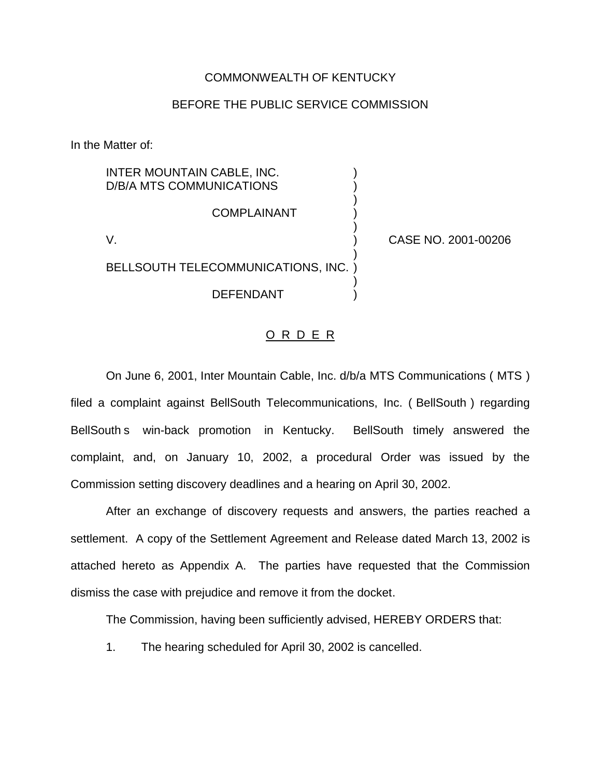## COMMONWEALTH OF KENTUCKY

## BEFORE THE PUBLIC SERVICE COMMISSION

)

)

)

)

In the Matter of:

INTER MOUNTAIN CABLE, INC. D/B/A MTS COMMUNICATIONS

**COMPLAINANT** 

BELLSOUTH TELECOMMUNICATIONS, INC. )

DEFENDANT )

V. ) CASE NO. 2001-00206

## O R D E R

On June 6, 2001, Inter Mountain Cable, Inc. d/b/a MTS Communications ( MTS ) filed a complaint against BellSouth Telecommunications, Inc. ( BellSouth ) regarding BellSouth s win-back promotion in Kentucky. BellSouth timely answered the complaint, and, on January 10, 2002, a procedural Order was issued by the Commission setting discovery deadlines and a hearing on April 30, 2002.

After an exchange of discovery requests and answers, the parties reached a settlement. A copy of the Settlement Agreement and Release dated March 13, 2002 is attached hereto as Appendix A. The parties have requested that the Commission dismiss the case with prejudice and remove it from the docket.

The Commission, having been sufficiently advised, HEREBY ORDERS that:

1. The hearing scheduled for April 30, 2002 is cancelled.